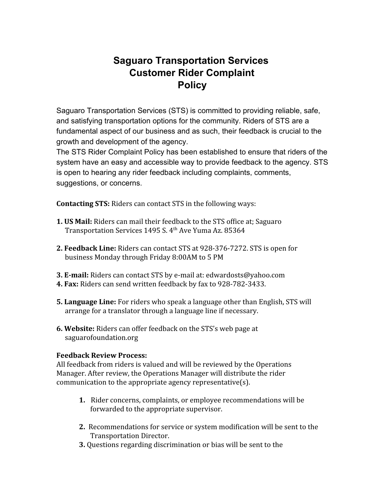# **Saguaro Transportation Services Customer Rider Complaint Policy**

Saguaro Transportation Services (STS) is committed to providing reliable, safe, and satisfying transportation options for the community. Riders of STS are a fundamental aspect of our business and as such, their feedback is crucial to the growth and development of the agency.

The STS Rider Complaint Policy has been established to ensure that riders of the system have an easy and accessible way to provide feedback to the agency. STS is open to hearing any rider feedback including complaints, comments, suggestions, or concerns.

**Contacting STS:** Riders can contact STS in the following ways:

- **1. US Mail:** Riders can mail their feedback to the STS office at; Saguaro Transportation Services 1495 S. 4 th Ave Yuma Az. 85364
- **2. Feedback Line:** Riders can contact STS at 928-376-7272. STS is open for business Monday through Friday 8:00AM to 5 PM
- **3. E-mail:** Riders can contact STS by e-mail at: edwardosts@yahoo.com
- **4. Fax:** Riders can send written feedback by fax to 928-782-3433.
- **5. Language Line:** For riders who speak a language other than English, STS will arrange for a translator through a language line if necessary.
- **6. Website:** Riders can offer feedback on the STS's web page at saguarofoundation.org

#### **Feedback Review Process:**

All feedback from riders is valued and will be reviewed by the Operations Manager. After review, the Operations Manager will distribute the rider communication to the appropriate agency representative(s).

- **1.** Rider concerns, complaints, or employee recommendations will be forwarded to the appropriate supervisor.
- **2.** Recommendations for service or system modification will be sent to the Transportation Director.
- **3.** Questions regarding discrimination or bias will be sent to the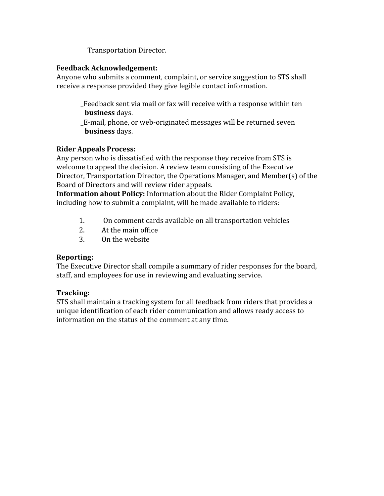Transportation Director.

#### **Feedback Acknowledgement:**

Anyone who submits a comment, complaint, or service suggestion to STS shall receive a response provided they give legible contact information.

\_Feedback sent via mail or fax will receive with a response within ten **business** days.

\_E-mail, phone, or web-originated messages will be returned seven **business** days.

#### **Rider Appeals Process:**

Any person who is dissatisfied with the response they receive from STS is welcome to appeal the decision. A review team consisting of the Executive Director, Transportation Director, the Operations Manager, and Member(s) of the Board of Directors and will review rider appeals.

**Information about Policy:** Information about the Rider Complaint Policy, including how to submit a complaint, will be made available to riders:

- 1. On comment cards available on all transportation vehicles
- 2. At the main office
- 3. On the website

## **Reporting:**

The Executive Director shall compile a summary of rider responses for the board, staff, and employees for use in reviewing and evaluating service.

## **Tracking:**

STS shall maintain a tracking system for all feedback from riders that provides a unique identification of each rider communication and allows ready access to information on the status of the comment at any time.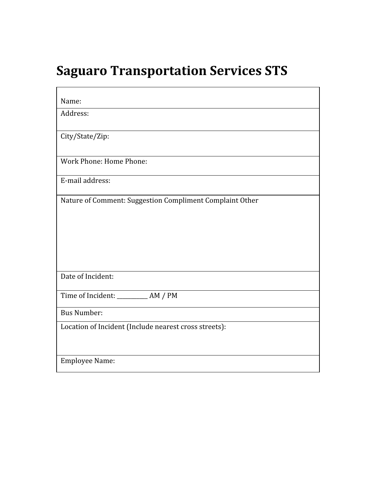# **Saguaro Transportation Services STS**

 $\blacksquare$ 

 $\overline{\phantom{a}}$ 

| Name:                                                    |
|----------------------------------------------------------|
| Address:                                                 |
| City/State/Zip:                                          |
| Work Phone: Home Phone:                                  |
| E-mail address:                                          |
| Nature of Comment: Suggestion Compliment Complaint Other |
| Date of Incident:                                        |
| Time of Incident: ___________ AM / PM                    |
| <b>Bus Number:</b>                                       |
| Location of Incident (Include nearest cross streets):    |
| <b>Employee Name:</b>                                    |